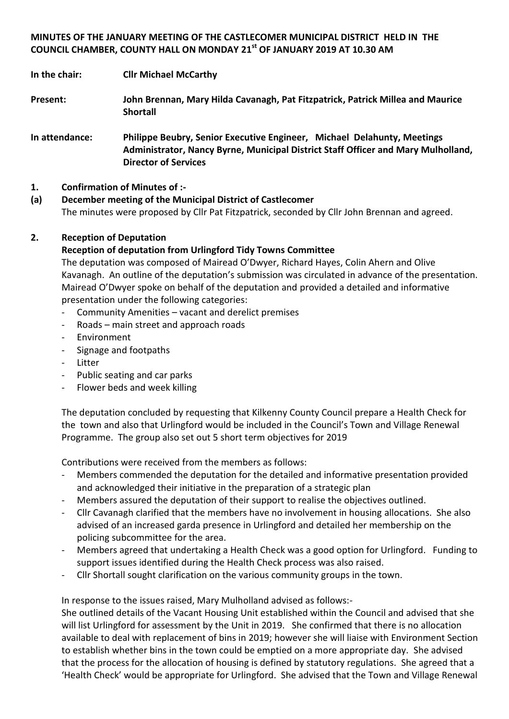# **MINUTES OF THE JANUARY MEETING OF THE CASTLECOMER MUNICIPAL DISTRICT HELD IN THE COUNCIL CHAMBER, COUNTY HALL ON MONDAY 21st OF JANUARY 2019 AT 10.30 AM**

**In the chair: Cllr Michael McCarthy**

**Present: John Brennan, Mary Hilda Cavanagh, Pat Fitzpatrick, Patrick Millea and Maurice Shortall**

**In attendance: Philippe Beubry, Senior Executive Engineer, Michael Delahunty, Meetings Administrator, Nancy Byrne, Municipal District Staff Officer and Mary Mulholland, Director of Services**

# **1. Confirmation of Minutes of :-**

# **(a) December meeting of the Municipal District of Castlecomer**

The minutes were proposed by Cllr Pat Fitzpatrick, seconded by Cllr John Brennan and agreed.

# **2. Reception of Deputation**

# **Reception of deputation from Urlingford Tidy Towns Committee**

The deputation was composed of Mairead O'Dwyer, Richard Hayes, Colin Ahern and Olive Kavanagh. An outline of the deputation's submission was circulated in advance of the presentation. Mairead O'Dwyer spoke on behalf of the deputation and provided a detailed and informative presentation under the following categories:

- Community Amenities vacant and derelict premises
- Roads main street and approach roads
- **Environment**
- Signage and footpaths
- Litter
- Public seating and car parks
- Flower beds and week killing

The deputation concluded by requesting that Kilkenny County Council prepare a Health Check for the town and also that Urlingford would be included in the Council's Town and Village Renewal Programme. The group also set out 5 short term objectives for 2019

Contributions were received from the members as follows:

- Members commended the deputation for the detailed and informative presentation provided and acknowledged their initiative in the preparation of a strategic plan
- Members assured the deputation of their support to realise the objectives outlined.
- Cllr Cavanagh clarified that the members have no involvement in housing allocations. She also advised of an increased garda presence in Urlingford and detailed her membership on the policing subcommittee for the area.
- Members agreed that undertaking a Health Check was a good option for Urlingford. Funding to support issues identified during the Health Check process was also raised.
- Cllr Shortall sought clarification on the various community groups in the town.

In response to the issues raised, Mary Mulholland advised as follows:-

She outlined details of the Vacant Housing Unit established within the Council and advised that she will list Urlingford for assessment by the Unit in 2019. She confirmed that there is no allocation available to deal with replacement of bins in 2019; however she will liaise with Environment Section to establish whether bins in the town could be emptied on a more appropriate day. She advised that the process for the allocation of housing is defined by statutory regulations. She agreed that a 'Health Check' would be appropriate for Urlingford. She advised that the Town and Village Renewal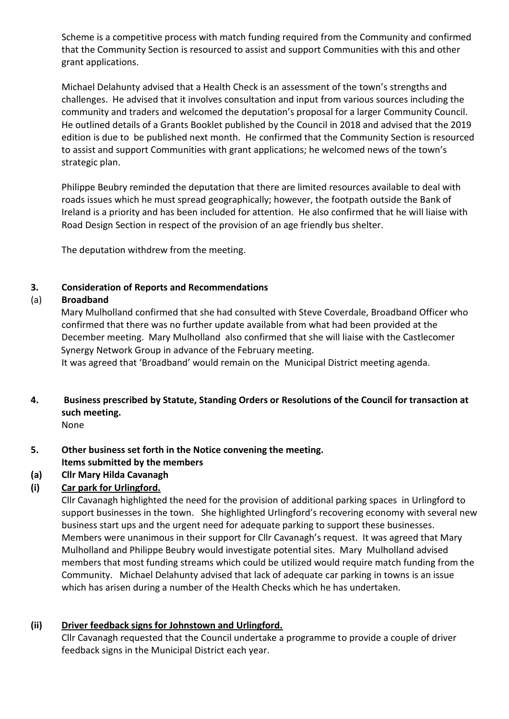Scheme is a competitive process with match funding required from the Community and confirmed that the Community Section is resourced to assist and support Communities with this and other grant applications.

Michael Delahunty advised that a Health Check is an assessment of the town's strengths and challenges. He advised that it involves consultation and input from various sources including the community and traders and welcomed the deputation's proposal for a larger Community Council. He outlined details of a Grants Booklet published by the Council in 2018 and advised that the 2019 edition is due to be published next month. He confirmed that the Community Section is resourced to assist and support Communities with grant applications; he welcomed news of the town's strategic plan.

Philippe Beubry reminded the deputation that there are limited resources available to deal with roads issues which he must spread geographically; however, the footpath outside the Bank of Ireland is a priority and has been included for attention. He also confirmed that he will liaise with Road Design Section in respect of the provision of an age friendly bus shelter.

The deputation withdrew from the meeting.

# **3. Consideration of Reports and Recommendations**

# (a) **Broadband**

Mary Mulholland confirmed that she had consulted with Steve Coverdale, Broadband Officer who confirmed that there was no further update available from what had been provided at the December meeting. Mary Mulholland also confirmed that she will liaise with the Castlecomer Synergy Network Group in advance of the February meeting.

It was agreed that 'Broadband' would remain on the Municipal District meeting agenda.

# **4. Business prescribed by Statute, Standing Orders or Resolutions of the Council for transaction at such meeting.**

None

**5. Other business set forth in the Notice convening the meeting.**

# **Items submitted by the members**

# **(a) Cllr Mary Hilda Cavanagh**

# **(i) Car park for Urlingford.**

Cllr Cavanagh highlighted the need for the provision of additional parking spaces in Urlingford to support businesses in the town. She highlighted Urlingford's recovering economy with several new business start ups and the urgent need for adequate parking to support these businesses. Members were unanimous in their support for Cllr Cavanagh's request. It was agreed that Mary Mulholland and Philippe Beubry would investigate potential sites. Mary Mulholland advised members that most funding streams which could be utilized would require match funding from the Community. Michael Delahunty advised that lack of adequate car parking in towns is an issue which has arisen during a number of the Health Checks which he has undertaken.

# **(ii) Driver feedback signs for Johnstown and Urlingford.**

Cllr Cavanagh requested that the Council undertake a programme to provide a couple of driver feedback signs in the Municipal District each year.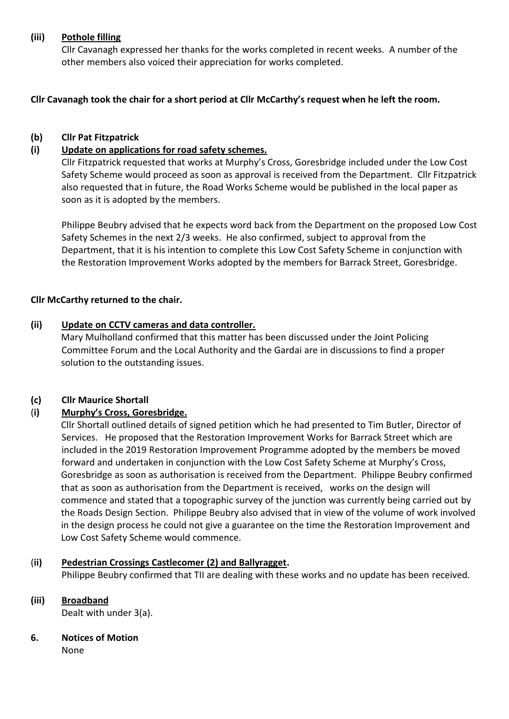#### **(iii) Pothole filling**

Cllr Cavanagh expressed her thanks for the works completed in recent weeks. A number of the other members also voiced their appreciation for works completed.

**Cllr Cavanagh took the chair for a short period at Cllr McCarthy's request when he left the room.** 

#### **(b) Cllr Pat Fitzpatrick**

#### **(i) Update on applications for road safety schemes.**

Cllr Fitzpatrick requested that works at Murphy's Cross, Goresbridge included under the Low Cost Safety Scheme would proceed as soon as approval is received from the Department. Cllr Fitzpatrick also requested that in future, the Road Works Scheme would be published in the local paper as soon as it is adopted by the members.

Philippe Beubry advised that he expects word back from the Department on the proposed Low Cost Safety Schemes in the next 2/3 weeks. He also confirmed, subject to approval from the Department, that it is his intention to complete this Low Cost Safety Scheme in conjunction with the Restoration Improvement Works adopted by the members for Barrack Street, Goresbridge.

#### **Cllr McCarthy returned to the chair.**

#### **(ii) Update on CCTV cameras and data controller.**

Mary Mulholland confirmed that this matter has been discussed under the Joint Policing Committee Forum and the Local Authority and the Gardai are in discussions to find a proper solution to the outstanding issues.

#### **(c) Cllr Maurice Shortall**

### (**i) Murphy's Cross, Goresbridge.**

Cllr Shortall outlined details of signed petition which he had presented to Tim Butler, Director of Services. He proposed that the Restoration Improvement Works for Barrack Street which are included in the 2019 Restoration Improvement Programme adopted by the members be moved forward and undertaken in conjunction with the Low Cost Safety Scheme at Murphy's Cross, Goresbridge as soon as authorisation is received from the Department. Philippe Beubry confirmed that as soon as authorisation from the Department is received, works on the design will commence and stated that a topographic survey of the junction was currently being carried out by the Roads Design Section. Philippe Beubry also advised that in view of the volume of work involved in the design process he could not give a guarantee on the time the Restoration Improvement and Low Cost Safety Scheme would commence.

#### (**ii) Pedestrian Crossings Castlecomer (2) and Ballyragget.**

Philippe Beubry confirmed that TII are dealing with these works and no update has been received.

**(iii) Broadband**

Dealt with under 3(a).

**6. Notices of Motion**

None